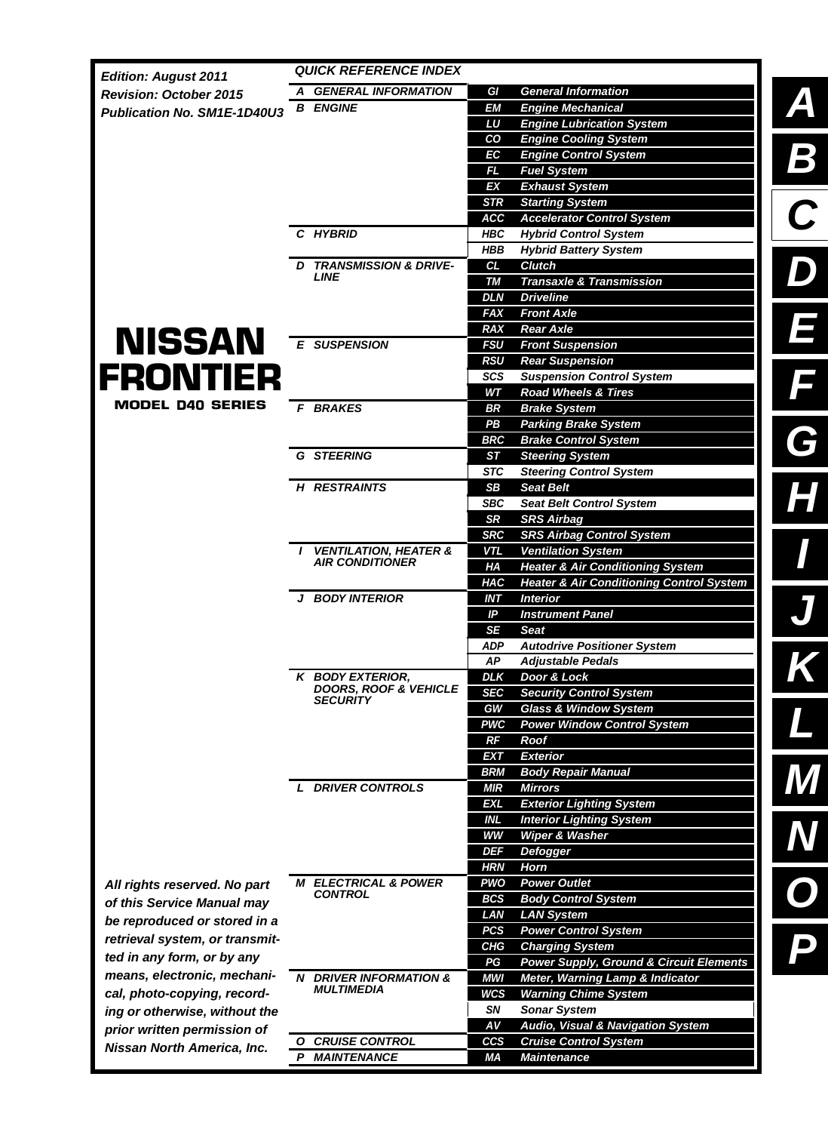| <b>Edition: August 2011</b>    | <b>QUICK REFERENCE INDEX</b>           |                                                                                 |                          |
|--------------------------------|----------------------------------------|---------------------------------------------------------------------------------|--------------------------|
| <b>Revision: October 2015</b>  | A GENERAL INFORMATION                  | <b>General Information</b><br>GI                                                |                          |
| Publication No. SM1E-1D40U3    | <b>B ENGINE</b>                        | <b>EM</b><br><b>Engine Mechanical</b>                                           | $\mathbf{A}$             |
|                                |                                        | LU<br><b>Engine Lubrication System</b>                                          |                          |
|                                |                                        | CO<br><b>Engine Cooling System</b>                                              |                          |
|                                |                                        | <b>Engine Control System</b><br>ЕC                                              | $\overline{\phantom{a}}$ |
|                                |                                        | FL.<br><b>Fuel System</b>                                                       |                          |
|                                |                                        | <b>Exhaust System</b><br>ΕX                                                     |                          |
|                                |                                        | <b>Starting System</b><br><b>STR</b>                                            |                          |
|                                | C HYBRID                               | <b>ACC</b><br><b>Accelerator Control System</b><br><b>Hybrid Control System</b> |                          |
|                                |                                        | HBC<br><b>Hybrid Battery System</b><br>HBB                                      |                          |
|                                | <b>TRANSMISSION &amp; DRIVE-</b><br>D. | <b>Clutch</b><br>CL                                                             |                          |
|                                | <b>LINE</b>                            | <b>Transaxle &amp; Transmission</b><br><b>TM</b>                                |                          |
|                                |                                        | <b>DLN</b><br><b>Driveline</b>                                                  |                          |
|                                |                                        | <b>FAX</b><br><b>Front Axle</b>                                                 |                          |
|                                |                                        | <b>Rear Axle</b><br><b>RAX</b>                                                  |                          |
| <b>NISSAN</b>                  | <b>E SUSPENSION</b>                    | <b>Front Suspension</b><br><b>FSU</b>                                           |                          |
|                                |                                        | <b>RSU</b><br><b>Rear Suspension</b>                                            |                          |
| <b>FRONTIER</b>                |                                        | <b>Suspension Control System</b><br><b>SCS</b>                                  | Ē                        |
| <b>MODEL D40 SERIES</b>        |                                        | <b>Road Wheels &amp; Tires</b><br>WТ                                            |                          |
|                                | <b>BRAKES</b><br>F.                    | <b>BR</b><br><b>Brake System</b>                                                |                          |
|                                |                                        | PB<br><b>Parking Brake System</b>                                               |                          |
|                                | <b>G STEERING</b>                      | <b>BRC</b><br><b>Brake Control System</b><br><b>Steering System</b>             | C                        |
|                                |                                        | SТ<br><b>Steering Control System</b><br><b>STC</b>                              |                          |
|                                | <b>H RESTRAINTS</b>                    | <b>SB</b><br><b>Seat Belt</b>                                                   |                          |
|                                |                                        | <b>Seat Belt Control System</b><br><b>SBC</b>                                   |                          |
|                                |                                        | <b>SRS Airbag</b><br><b>SR</b>                                                  |                          |
|                                |                                        | <b>SRS Airbag Control System</b><br><b>SRC</b>                                  |                          |
|                                | <b>VENTILATION, HEATER &amp;</b>       | <b>Ventilation System</b><br><b>VTL</b>                                         |                          |
|                                | <b>AIR CONDITIONER</b>                 | <b>Heater &amp; Air Conditioning System</b><br>HA                               |                          |
|                                |                                        | <b>HAC</b><br><b>Heater &amp; Air Conditioning Control System</b>               |                          |
|                                | <b>BODY INTERIOR</b><br>J              | <b>INT</b><br><b>Interior</b>                                                   |                          |
|                                |                                        | IP<br><b>Instrument Panel</b>                                                   |                          |
|                                |                                        | <b>SE</b><br><b>Seat</b>                                                        |                          |
|                                |                                        | <b>Autodrive Positioner System</b><br><b>ADP</b><br><b>AP</b>                   |                          |
|                                | K BODY EXTERIOR,                       | <b>Adjustable Pedals</b><br><b>DLK</b><br>Door & Lock                           |                          |
|                                | <b>DOORS, ROOF &amp; VEHICLE</b>       | <b>SEC</b><br><b>Security Control System</b>                                    |                          |
|                                | <b>SECURITY</b>                        | <b>Glass &amp; Window System</b><br>GW                                          |                          |
|                                |                                        | <b>Power Window Control System</b><br><b>PWC</b>                                |                          |
|                                |                                        | RF<br>Roof                                                                      |                          |
|                                |                                        | <b>EXT</b><br><b>Exterior</b>                                                   |                          |
|                                |                                        | <b>BRM</b><br><b>Body Repair Manual</b>                                         |                          |
|                                | <b>L DRIVER CONTROLS</b>               | <b>MIR</b><br><b>Mirrors</b>                                                    |                          |
|                                |                                        | <b>Exterior Lighting System</b><br><b>EXL</b>                                   |                          |
|                                |                                        | <b>INL</b><br><b>Interior Lighting System</b>                                   |                          |
|                                |                                        | <b>WW</b><br>Wiper & Washer                                                     |                          |
|                                |                                        | <b>DEF</b><br>Defogger                                                          |                          |
|                                | <b>M ELECTRICAL &amp; POWER</b>        | <b>HRN</b><br>Horn<br><b>Power Outlet</b><br><b>PWO</b>                         |                          |
| All rights reserved. No part   | <b>CONTROL</b>                         | <b>BCS</b><br><b>Body Control System</b>                                        |                          |
| of this Service Manual may     |                                        | LAN<br><b>LAN System</b>                                                        |                          |
| be reproduced or stored in a   |                                        | <b>Power Control System</b><br><b>PCS</b>                                       |                          |
| retrieval system, or transmit- |                                        | <b>CHG</b><br><b>Charging System</b>                                            | D                        |
| ted in any form, or by any     |                                        | <b>Power Supply, Ground &amp; Circuit Elements</b><br>PG                        |                          |
| means, electronic, mechani-    | N DRIVER INFORMATION &                 | <b>MWI</b><br>Meter, Warning Lamp & Indicator                                   |                          |
| cal, photo-copying, record-    | <b>MULTIMEDIA</b>                      | <b>WCS</b><br><b>Warning Chime System</b>                                       |                          |
| ing or otherwise, without the  |                                        | SN<br><b>Sonar System</b>                                                       |                          |
| prior written permission of    |                                        | AV<br>Audio, Visual & Navigation System                                         |                          |
| Nissan North America, Inc.     | <b>O CRUISE CONTROL</b>                | <b>CCS</b><br><b>Cruise Control System</b>                                      |                          |
|                                | P MAINTENANCE                          | Maintenance<br>MА                                                               |                          |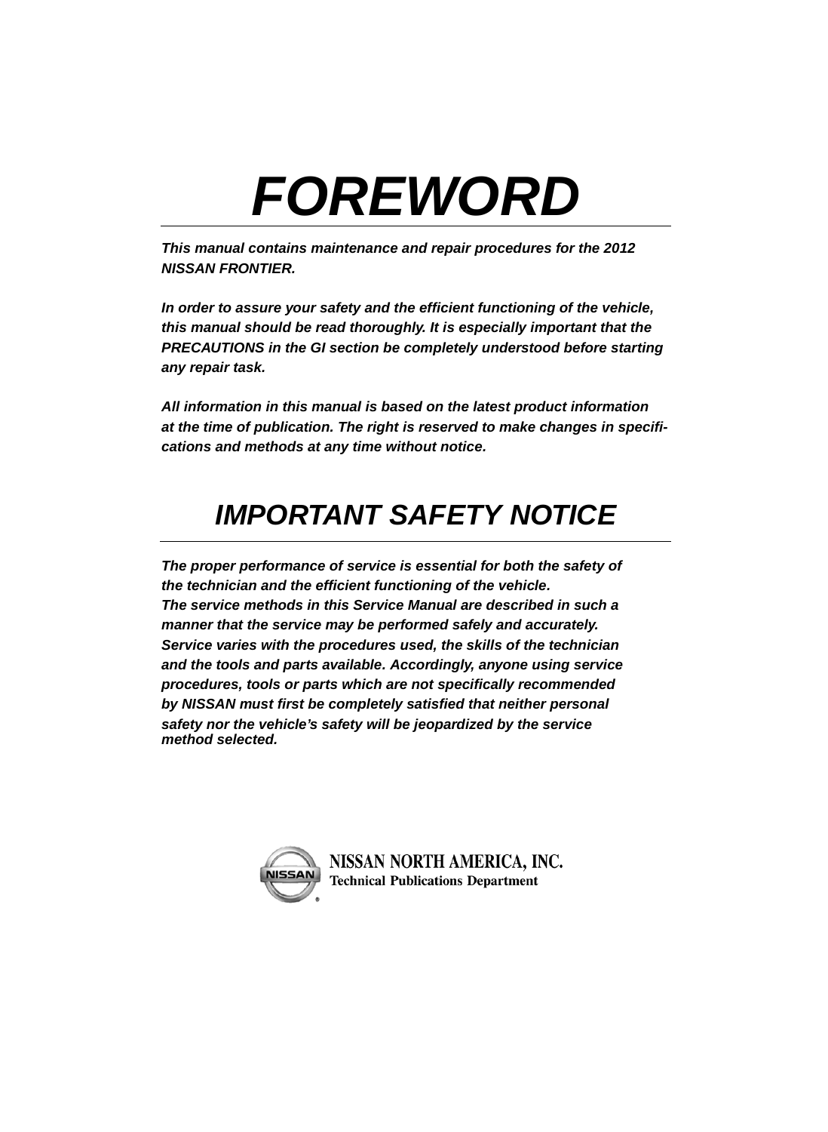## *FOREWORD*

*This manual contains maintenance and repair procedures for the 2012 NISSAN FRONTIER.*

*In order to assure your safety and the efficient functioning of the vehicle, this manual should be read thoroughly. It is especially important that the PRECAUTIONS in the GI section be completely understood before starting any repair task.* 

*All information in this manual is based on the latest product information at the time of publication. The right is reserved to make changes in specifications and methods at any time without notice.*

## *IMPORTANT SAFETY NOTICE*

*The proper performance of service is essential for both the safety of the technician and the efficient functioning of the vehicle. The service methods in this Service Manual are described in such a manner that the service may be performed safely and accurately. Service varies with the procedures used, the skills of the technician and the tools and parts available. Accordingly, anyone using service procedures, tools or parts which are not specifically recommended by NISSAN must first be completely satisfied that neither personal safety nor the vehicle's safety will be jeopardized by the service method selected.*



NISSAN NORTH AMERICA, INC. **Technical Publications Department**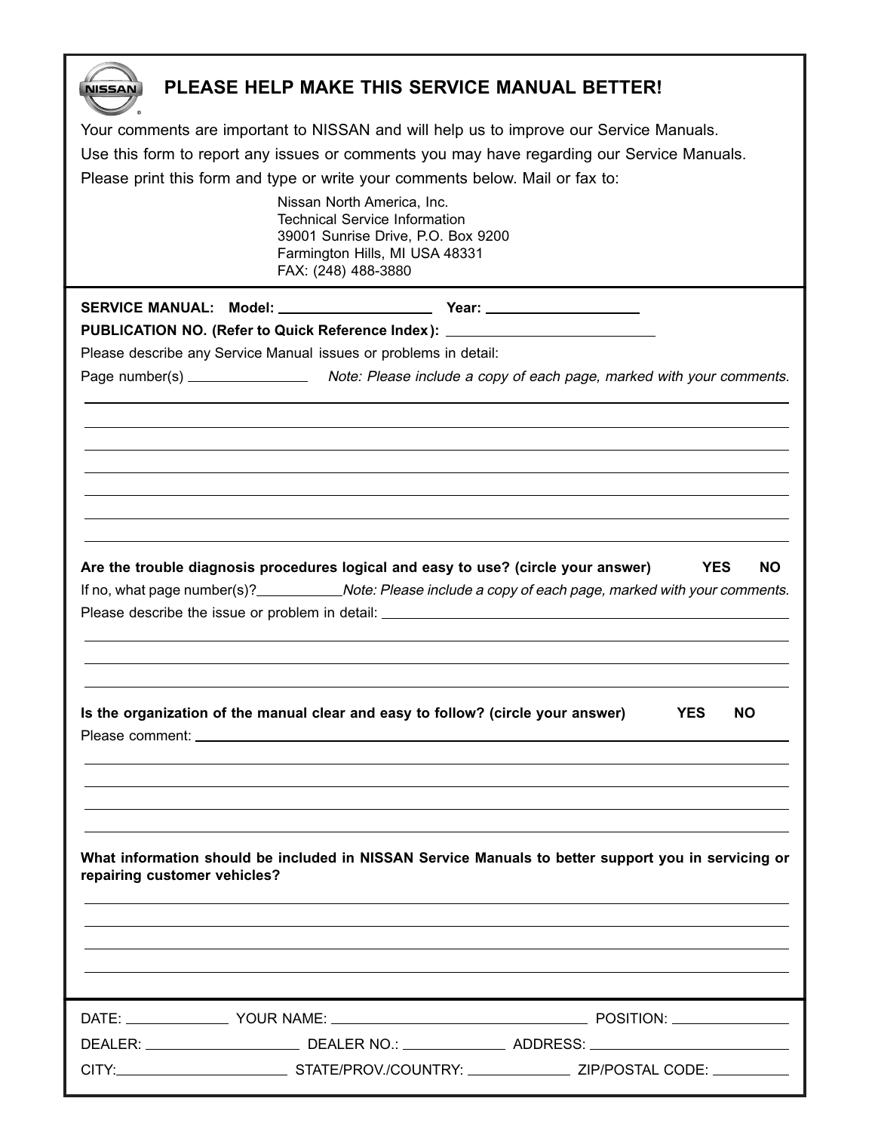| NISSAN                                                                                     | PLEASE HELP MAKE THIS SERVICE MANUAL BETTER!                                           |                                                                                                               |  |
|--------------------------------------------------------------------------------------------|----------------------------------------------------------------------------------------|---------------------------------------------------------------------------------------------------------------|--|
|                                                                                            | Your comments are important to NISSAN and will help us to improve our Service Manuals. |                                                                                                               |  |
| Use this form to report any issues or comments you may have regarding our Service Manuals. |                                                                                        |                                                                                                               |  |
|                                                                                            | Please print this form and type or write your comments below. Mail or fax to:          |                                                                                                               |  |
|                                                                                            | Nissan North America, Inc.                                                             |                                                                                                               |  |
|                                                                                            | <b>Technical Service Information</b>                                                   |                                                                                                               |  |
|                                                                                            | 39001 Sunrise Drive, P.O. Box 9200<br>Farmington Hills, MI USA 48331                   |                                                                                                               |  |
|                                                                                            | FAX: (248) 488-3880                                                                    |                                                                                                               |  |
|                                                                                            | SERVICE MANUAL: Model: ______________________ Year: ____________________________       |                                                                                                               |  |
|                                                                                            | PUBLICATION NO. (Refer to Quick Reference Index): ______________________________       |                                                                                                               |  |
|                                                                                            | Please describe any Service Manual issues or problems in detail:                       |                                                                                                               |  |
|                                                                                            |                                                                                        | Page number(s) _____________________ Note: Please include a copy of each page, marked with your comments.     |  |
|                                                                                            |                                                                                        |                                                                                                               |  |
|                                                                                            |                                                                                        |                                                                                                               |  |
|                                                                                            |                                                                                        |                                                                                                               |  |
|                                                                                            |                                                                                        |                                                                                                               |  |
|                                                                                            |                                                                                        |                                                                                                               |  |
|                                                                                            |                                                                                        |                                                                                                               |  |
|                                                                                            |                                                                                        |                                                                                                               |  |
|                                                                                            | Are the trouble diagnosis procedures logical and easy to use? (circle your answer)     | <b>YES</b><br>NO.                                                                                             |  |
|                                                                                            |                                                                                        | If no, what page number(s)? _____________Note: Please include a copy of each page, marked with your comments. |  |
|                                                                                            |                                                                                        |                                                                                                               |  |
|                                                                                            |                                                                                        |                                                                                                               |  |
|                                                                                            |                                                                                        |                                                                                                               |  |
|                                                                                            |                                                                                        |                                                                                                               |  |
|                                                                                            | Is the organization of the manual clear and easy to follow? (circle your answer)       | <b>YES</b><br>NO.                                                                                             |  |
|                                                                                            |                                                                                        |                                                                                                               |  |
|                                                                                            |                                                                                        |                                                                                                               |  |
|                                                                                            |                                                                                        |                                                                                                               |  |
|                                                                                            |                                                                                        |                                                                                                               |  |
|                                                                                            |                                                                                        |                                                                                                               |  |
|                                                                                            |                                                                                        |                                                                                                               |  |
| repairing customer vehicles?                                                               |                                                                                        | What information should be included in NISSAN Service Manuals to better support you in servicing or           |  |
|                                                                                            |                                                                                        |                                                                                                               |  |
|                                                                                            |                                                                                        |                                                                                                               |  |
|                                                                                            |                                                                                        |                                                                                                               |  |
|                                                                                            |                                                                                        |                                                                                                               |  |
|                                                                                            |                                                                                        |                                                                                                               |  |
|                                                                                            |                                                                                        |                                                                                                               |  |
|                                                                                            |                                                                                        |                                                                                                               |  |
|                                                                                            |                                                                                        |                                                                                                               |  |
|                                                                                            |                                                                                        |                                                                                                               |  |